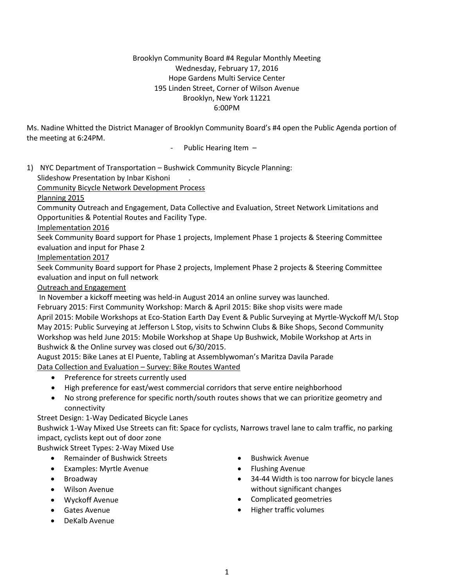## Brooklyn Community Board #4 Regular Monthly Meeting Wednesday, February 17, 2016 Hope Gardens Multi Service Center 195 Linden Street, Corner of Wilson Avenue Brooklyn, New York 11221 6:00PM

Ms. Nadine Whitted the District Manager of Brooklyn Community Board's #4 open the Public Agenda portion of the meeting at 6:24PM.

Public Hearing Item -

1) NYC Department of Transportation – Bushwick Community Bicycle Planning:

Slideshow Presentation by Inbar Kishoni .

Community Bicycle Network Development Process

Planning 2015

Community Outreach and Engagement, Data Collective and Evaluation, Street Network Limitations and Opportunities & Potential Routes and Facility Type.

Implementation 2016

Seek Community Board support for Phase 1 projects, Implement Phase 1 projects & Steering Committee evaluation and input for Phase 2

Implementation 2017

Seek Community Board support for Phase 2 projects, Implement Phase 2 projects & Steering Committee evaluation and input on full network

## Outreach and Engagement

In November a kickoff meeting was held-in August 2014 an online survey was launched.

February 2015: First Community Workshop: March & April 2015: Bike shop visits were made April 2015: Mobile Workshops at Eco-Station Earth Day Event & Public Surveying at Myrtle-Wyckoff M/L Stop May 2015: Public Surveying at Jefferson L Stop, visits to Schwinn Clubs & Bike Shops, Second Community Workshop was held June 2015: Mobile Workshop at Shape Up Bushwick, Mobile Workshop at Arts in Bushwick & the Online survey was closed out 6/30/2015.

August 2015: Bike Lanes at El Puente, Tabling at Assemblywoman's Maritza Davila Parade Data Collection and Evaluation – Survey: Bike Routes Wanted

- Preference for streets currently used
- High preference for east/west commercial corridors that serve entire neighborhood
- No strong preference for specific north/south routes shows that we can prioritize geometry and connectivity

Street Design: 1-Way Dedicated Bicycle Lanes

Bushwick 1-Way Mixed Use Streets can fit: Space for cyclists, Narrows travel lane to calm traffic, no parking impact, cyclists kept out of door zone

Bushwick Street Types: 2-Way Mixed Use

- Remainder of Bushwick Streets
- Examples: Myrtle Avenue
- Broadway
- Wilson Avenue
- Wyckoff Avenue
- Gates Avenue
- DeKalb Avenue
- **•** Bushwick Avenue
- **•** Flushing Avenue
- 34-44 Width is too narrow for bicycle lanes without significant changes
- Complicated geometries
- Higher traffic volumes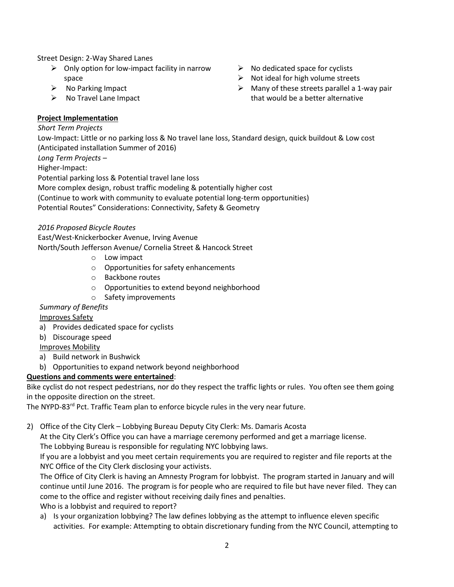Street Design: 2-Way Shared Lanes

- $\triangleright$  Only option for low-impact facility in narrow space
- $\triangleright$  No Parking Impact
- $\triangleright$  No Travel Lane Impact
- $\triangleright$  No dedicated space for cyclists
- $\triangleright$  Not ideal for high volume streets
- $\triangleright$  Many of these streets parallel a 1-way pair that would be a better alternative

## **Project Implementation**

### *Short Term Projects*

 Low-Impact: Little or no parking loss & No travel lane loss, Standard design, quick buildout & Low cost (Anticipated installation Summer of 2016)

*Long Term Projects –*

Higher-Impact:

Potential parking loss & Potential travel lane loss

More complex design, robust traffic modeling & potentially higher cost

(Continue to work with community to evaluate potential long-term opportunities)

Potential Routes" Considerations: Connectivity, Safety & Geometry

## *2016 Proposed Bicycle Routes*

 East/West-Knickerbocker Avenue, Irving Avenue North/South Jefferson Avenue/ Cornelia Street & Hancock Street

- o Low impact
- o Opportunities for safety enhancements
- o Backbone routes
- o Opportunities to extend beyond neighborhood
- o Safety improvements

# *Summary of Benefits*

Improves Safety

- a) Provides dedicated space for cyclists
- b) Discourage speed

# Improves Mobility

- a) Build network in Bushwick
- b) Opportunities to expand network beyond neighborhood

# **Questions and comments were entertained**:

Bike cyclist do not respect pedestrians, nor do they respect the traffic lights or rules. You often see them going in the opposite direction on the street.

The NYPD-83<sup>rd</sup> Pct. Traffic Team plan to enforce bicycle rules in the very near future.

2) Office of the City Clerk – Lobbying Bureau Deputy City Clerk: Ms. Damaris Acosta

At the City Clerk's Office you can have a marriage ceremony performed and get a marriage license. The Lobbying Bureau is responsible for regulating NYC lobbying laws.

If you are a lobbyist and you meet certain requirements you are required to register and file reports at the NYC Office of the City Clerk disclosing your activists.

The Office of City Clerk is having an Amnesty Program for lobbyist. The program started in January and will continue until June 2016. The program is for people who are required to file but have never filed. They can come to the office and register without receiving daily fines and penalties.

Who is a lobbyist and required to report?

a) Is your organization lobbying? The law defines lobbying as the attempt to influence eleven specific activities. For example: Attempting to obtain discretionary funding from the NYC Council, attempting to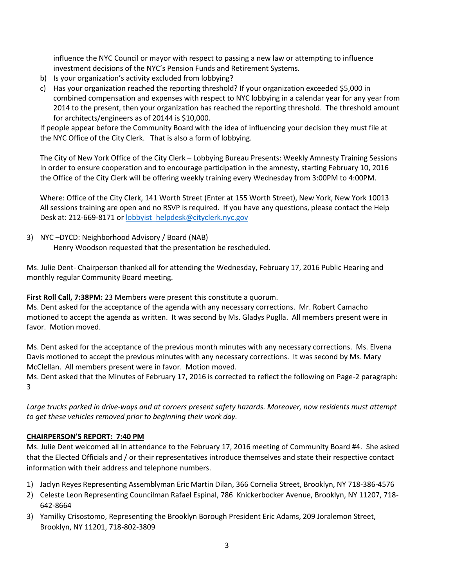influence the NYC Council or mayor with respect to passing a new law or attempting to influence investment decisions of the NYC's Pension Funds and Retirement Systems.

- b) Is your organization's activity excluded from lobbying?
- c) Has your organization reached the reporting threshold? If your organization exceeded \$5,000 in combined compensation and expenses with respect to NYC lobbying in a calendar year for any year from 2014 to the present, then your organization has reached the reporting threshold. The threshold amount for architects/engineers as of 20144 is \$10,000.

If people appear before the Community Board with the idea of influencing your decision they must file at the NYC Office of the City Clerk. That is also a form of lobbying.

The City of New York Office of the City Clerk – Lobbying Bureau Presents: Weekly Amnesty Training Sessions In order to ensure cooperation and to encourage participation in the amnesty, starting February 10, 2016 the Office of the City Clerk will be offering weekly training every Wednesday from 3:00PM to 4:00PM.

Where: Office of the City Clerk, 141 Worth Street (Enter at 155 Worth Street), New York, New York 10013 All sessions training are open and no RSVP is required. If you have any questions, please contact the Help Desk at: 212-669-8171 o[r lobbyist\\_helpdesk@cityclerk.nyc.gov](mailto:lobbyist_helpdesk@cityclerk.nyc.gov)

3) NYC –DYCD: Neighborhood Advisory / Board (NAB) Henry Woodson requested that the presentation be rescheduled.

Ms. Julie Dent- Chairperson thanked all for attending the Wednesday, February 17, 2016 Public Hearing and monthly regular Community Board meeting.

**First Roll Call, 7:38PM:** 23 Members were present this constitute a quorum.

Ms. Dent asked for the acceptance of the agenda with any necessary corrections. Mr. Robert Camacho motioned to accept the agenda as written. It was second by Ms. Gladys Puglla. All members present were in favor. Motion moved.

Ms. Dent asked for the acceptance of the previous month minutes with any necessary corrections. Ms. Elvena Davis motioned to accept the previous minutes with any necessary corrections. It was second by Ms. Mary McClellan. All members present were in favor. Motion moved.

Ms. Dent asked that the Minutes of February 17, 2016 is corrected to reflect the following on Page-2 paragraph: 3

*Large trucks parked in drive-ways and at corners present safety hazards. Moreover, now residents must attempt to get these vehicles removed prior to beginning their work day.*

## **CHAIRPERSON'S REPORT: 7:40 PM**

Ms. Julie Dent welcomed all in attendance to the February 17, 2016 meeting of Community Board #4. She asked that the Elected Officials and / or their representatives introduce themselves and state their respective contact information with their address and telephone numbers.

- 1) Jaclyn Reyes Representing Assemblyman Eric Martin Dilan, 366 Cornelia Street, Brooklyn, NY 718-386-4576
- 2) Celeste Leon Representing Councilman Rafael Espinal, 786 Knickerbocker Avenue, Brooklyn, NY 11207, 718- 642-8664
- 3) Yamilky Crisostomo, Representing the Brooklyn Borough President Eric Adams, 209 Joralemon Street, Brooklyn, NY 11201, 718-802-3809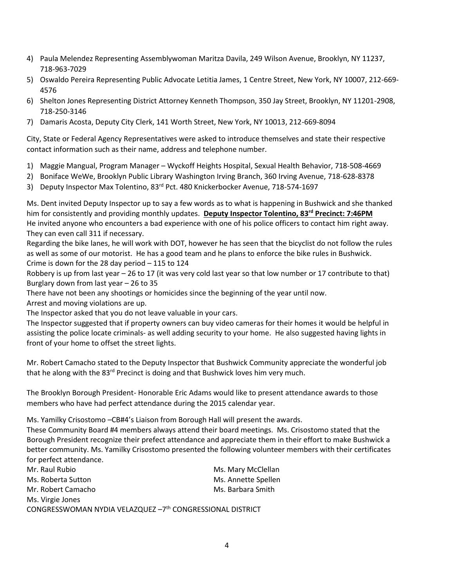- 4) Paula Melendez Representing Assemblywoman Maritza Davila, 249 Wilson Avenue, Brooklyn, NY 11237, 718-963-7029
- 5) Oswaldo Pereira Representing Public Advocate Letitia James, 1 Centre Street, New York, NY 10007, 212-669- 4576
- 6) Shelton Jones Representing District Attorney Kenneth Thompson, 350 Jay Street, Brooklyn, NY 11201-2908, 718-250-3146
- 7) Damaris Acosta, Deputy City Clerk, 141 Worth Street, New York, NY 10013, 212-669-8094

City, State or Federal Agency Representatives were asked to introduce themselves and state their respective contact information such as their name, address and telephone number.

- 1) Maggie Mangual, Program Manager Wyckoff Heights Hospital, Sexual Health Behavior, 718-508-4669
- 2) Boniface WeWe, Brooklyn Public Library Washington Irving Branch, 360 Irving Avenue, 718-628-8378
- 3) Deputy Inspector Max Tolentino, 83rd Pct. 480 Knickerbocker Avenue, 718-574-1697

Ms. Dent invited Deputy Inspector up to say a few words as to what is happening in Bushwick and she thanked him for consistently and providing monthly updates. **Deputy Inspector Tolentino, 83rd Precinct: 7:46PM** He invited anyone who encounters a bad experience with one of his police officers to contact him right away. They can even call 311 if necessary.

Regarding the bike lanes, he will work with DOT, however he has seen that the bicyclist do not follow the rules as well as some of our motorist. He has a good team and he plans to enforce the bike rules in Bushwick. Crime is down for the 28 day period – 115 to 124

Robbery is up from last year – 26 to 17 (it was very cold last year so that low number or 17 contribute to that) Burglary down from last year – 26 to 35

There have not been any shootings or homicides since the beginning of the year until now.

Arrest and moving violations are up.

The Inspector asked that you do not leave valuable in your cars.

The Inspector suggested that if property owners can buy video cameras for their homes it would be helpful in assisting the police locate criminals- as well adding security to your home. He also suggested having lights in front of your home to offset the street lights.

Mr. Robert Camacho stated to the Deputy Inspector that Bushwick Community appreciate the wonderful job that he along with the 83<sup>rd</sup> Precinct is doing and that Bushwick loves him very much.

The Brooklyn Borough President- Honorable Eric Adams would like to present attendance awards to those members who have had perfect attendance during the 2015 calendar year.

Ms. Yamilky Crisostomo –CB#4's Liaison from Borough Hall will present the awards.

These Community Board #4 members always attend their board meetings. Ms. Crisostomo stated that the Borough President recognize their prefect attendance and appreciate them in their effort to make Bushwick a better community. Ms. Yamilky Crisostomo presented the following volunteer members with their certificates for perfect attendance.

| Mr. Raul Rubio                                                        | Ms. Mary McClellan  |
|-----------------------------------------------------------------------|---------------------|
| Ms. Roberta Sutton                                                    | Ms. Annette Spellen |
| Mr. Robert Camacho                                                    | Ms. Barbara Smith   |
| Ms. Virgie Jones                                                      |                     |
| CONGRESSWOMAN NYDIA VELAZQUEZ -7 <sup>th</sup> CONGRESSIONAL DISTRICT |                     |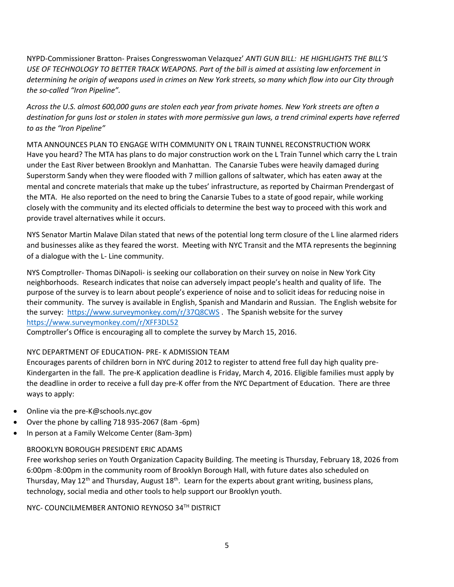NYPD-Commissioner Bratton- Praises Congresswoman Velazquez' *ANTI GUN BILL: HE HIGHLIGHTS THE BILL'S USE OF TECHNOLOGY TO BETTER TRACK WEAPONS. Part of the bill is aimed at assisting law enforcement in determining he origin of weapons used in crimes on New York streets, so many which flow into our City through the so-called "Iron Pipeline".*

*Across the U.S. almost 600,000 guns are stolen each year from private homes. New York streets are often a destination for guns lost or stolen in states with more permissive gun laws, a trend criminal experts have referred to as the "Iron Pipeline"*

MTA ANNOUNCES PLAN TO ENGAGE WITH COMMUNITY ON L TRAIN TUNNEL RECONSTRUCTION WORK Have you heard? The MTA has plans to do major construction work on the L Train Tunnel which carry the L train under the East River between Brooklyn and Manhattan. The Canarsie Tubes were heavily damaged during Superstorm Sandy when they were flooded with 7 million gallons of saltwater, which has eaten away at the mental and concrete materials that make up the tubes' infrastructure, as reported by Chairman Prendergast of the MTA. He also reported on the need to bring the Canarsie Tubes to a state of good repair, while working closely with the community and its elected officials to determine the best way to proceed with this work and provide travel alternatives while it occurs.

NYS Senator Martin Malave Dilan stated that news of the potential long term closure of the L line alarmed riders and businesses alike as they feared the worst. Meeting with NYC Transit and the MTA represents the beginning of a dialogue with the L- Line community.

NYS Comptroller- Thomas DiNapoli- is seeking our collaboration on their survey on noise in New York City neighborhoods. Research indicates that noise can adversely impact people's health and quality of life. The purpose of the survey is to learn about people's experience of noise and to solicit ideas for reducing noise in their community. The survey is available in English, Spanish and Mandarin and Russian. The English website for the survey:<https://www.surveymonkey.com/r/37Q8CWS> . The Spanish website for the survey <https://www.surveymonkey.com/r/XFF3DL52>

Comptroller's Office is encouraging all to complete the survey by March 15, 2016.

## NYC DEPARTMENT OF EDUCATION- PRE- K ADMISSION TEAM

Encourages parents of children born in NYC during 2012 to register to attend free full day high quality pre-Kindergarten in the fall. The pre-K application deadline is Friday, March 4, 2016. Eligible families must apply by the deadline in order to receive a full day pre-K offer from the NYC Department of Education. There are three ways to apply:

- Online via the pre-K@schools.nyc.gov
- Over the phone by calling 718 935-2067 (8am -6pm)
- In person at a Family Welcome Center (8am-3pm)

#### BROOKLYN BOROUGH PRESIDENT ERIC ADAMS

Free workshop series on Youth Organization Capacity Building. The meeting is Thursday, February 18, 2026 from 6:00pm -8:00pm in the community room of Brooklyn Borough Hall, with future dates also scheduled on Thursday, May  $12^{th}$  and Thursday, August  $18^{th}$ . Learn for the experts about grant writing, business plans, technology, social media and other tools to help support our Brooklyn youth.

NYC- COUNCILMEMBER ANTONIO REYNOSO 34TH DISTRICT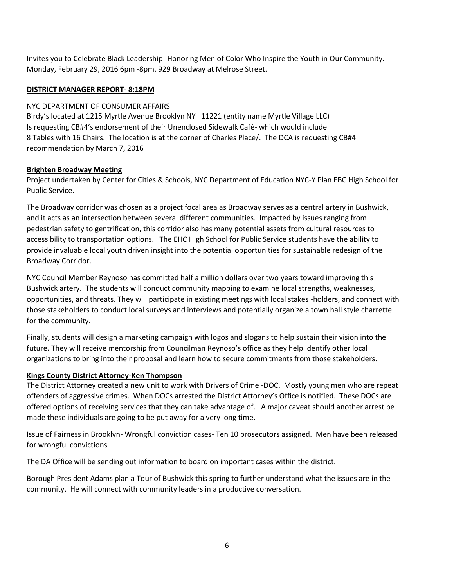Invites you to Celebrate Black Leadership- Honoring Men of Color Who Inspire the Youth in Our Community. Monday, February 29, 2016 6pm -8pm. 929 Broadway at Melrose Street.

### **DISTRICT MANAGER REPORT- 8:18PM**

#### NYC DEPARTMENT OF CONSUMER AFFAIRS

Birdy's located at 1215 Myrtle Avenue Brooklyn NY 11221 (entity name Myrtle Village LLC) Is requesting CB#4's endorsement of their Unenclosed Sidewalk Café- which would include 8 Tables with 16 Chairs. The location is at the corner of Charles Place/. The DCA is requesting CB#4 recommendation by March 7, 2016

### **Brighten Broadway Meeting**

Project undertaken by Center for Cities & Schools, NYC Department of Education NYC-Y Plan EBC High School for Public Service.

The Broadway corridor was chosen as a project focal area as Broadway serves as a central artery in Bushwick, and it acts as an intersection between several different communities. Impacted by issues ranging from pedestrian safety to gentrification, this corridor also has many potential assets from cultural resources to accessibility to transportation options. The EHC High School for Public Service students have the ability to provide invaluable local youth driven insight into the potential opportunities for sustainable redesign of the Broadway Corridor.

NYC Council Member Reynoso has committed half a million dollars over two years toward improving this Bushwick artery. The students will conduct community mapping to examine local strengths, weaknesses, opportunities, and threats. They will participate in existing meetings with local stakes -holders, and connect with those stakeholders to conduct local surveys and interviews and potentially organize a town hall style charrette for the community.

Finally, students will design a marketing campaign with logos and slogans to help sustain their vision into the future. They will receive mentorship from Councilman Reynoso's office as they help identify other local organizations to bring into their proposal and learn how to secure commitments from those stakeholders.

## **Kings County District Attorney-Ken Thompson**

The District Attorney created a new unit to work with Drivers of Crime -DOC. Mostly young men who are repeat offenders of aggressive crimes. When DOCs arrested the District Attorney's Office is notified. These DOCs are offered options of receiving services that they can take advantage of. A major caveat should another arrest be made these individuals are going to be put away for a very long time.

Issue of Fairness in Brooklyn- Wrongful conviction cases- Ten 10 prosecutors assigned. Men have been released for wrongful convictions

The DA Office will be sending out information to board on important cases within the district.

Borough President Adams plan a Tour of Bushwick this spring to further understand what the issues are in the community. He will connect with community leaders in a productive conversation.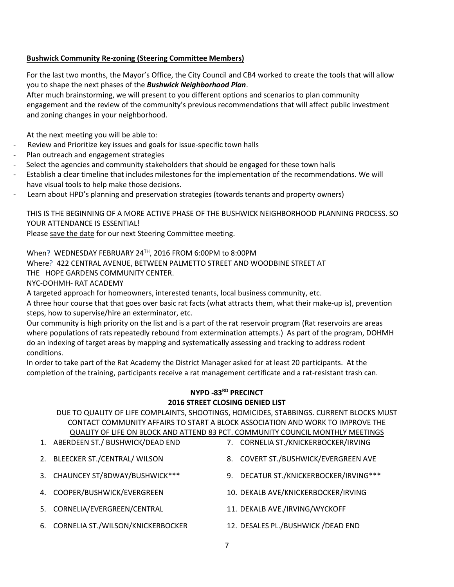### **Bushwick Community Re-zoning (Steering Committee Members)**

For the last two months, the Mayor's Office, the City Council and CB4 worked to create the tools that will allow you to shape the next phases of the *Bushwick Neighborhood Plan*.

After much brainstorming, we will present to you different options and scenarios to plan community engagement and the review of the community's previous recommendations that will affect public investment and zoning changes in your neighborhood.

At the next meeting you will be able to:

- Review and Prioritize key issues and goals for issue-specific town halls
- Plan outreach and engagement strategies
- Select the agencies and community stakeholders that should be engaged for these town halls
- Establish a clear timeline that includes milestones for the implementation of the recommendations. We will have visual tools to help make those decisions.
- Learn about HPD's planning and preservation strategies (towards tenants and property owners)

## THIS IS THE BEGINNING OF A MORE ACTIVE PHASE OF THE BUSHWICK NEIGHBORHOOD PLANNING PROCESS. SO YOUR ATTENDANCE IS ESSENTIAL!

Please save the date for our next Steering Committee meeting.

When? WEDNESDAY FEBRUARY 24TH, 2016 FROM 6:00PM to 8:00PM

Where? 422 CENTRAL AVENUE, BETWEEN PALMETTO STREET AND WOODBINE STREET AT

THE HOPE GARDENS COMMUNITY CENTER.

NYC-DOHMH- RAT ACADEMY

A targeted approach for homeowners, interested tenants, local business community, etc.

A three hour course that that goes over basic rat facts (what attracts them, what their make-up is), prevention steps, how to supervise/hire an exterminator, etc.

Our community is high priority on the list and is a part of the rat reservoir program (Rat reservoirs are areas where populations of rats repeatedly rebound from extermination attempts.) As part of the program, DOHMH do an indexing of target areas by mapping and systematically assessing and tracking to address rodent conditions.

In order to take part of the Rat Academy the District Manager asked for at least 20 participants. At the completion of the training, participants receive a rat management certificate and a rat-resistant trash can.

## **NYPD -83RD PRECINCT 2016 STREET CLOSING DENIED LIST**

DUE TO QUALITY OF LIFE COMPLAINTS, SHOOTINGS, HOMICIDES, STABBINGS. CURRENT BLOCKS MUST CONTACT COMMUNITY AFFAIRS TO START A BLOCK ASSOCIATION AND WORK TO IMPROVE THE QUALITY OF LIFE ON BLOCK AND ATTEND 83 PCT. COMMUNITY COUNCIL MONTHLY MEETINGS

| 1. ABERDEEN ST./ BUSHWICK/DEAD END   |    | 7. CORNELIA ST./KNICKERBOCKER/IRVING |
|--------------------------------------|----|--------------------------------------|
| 2. BLEECKER ST./CENTRAL/ WILSON      | 8. | COVERT ST./BUSHWICK/EVERGREEN AVE    |
| 3. CHAUNCEY ST/BDWAY/BUSHWICK***     | 9. | DECATUR ST./KNICKERBOCKER/IRVING***  |
| 4. COOPER/BUSHWICK/EVERGREEN         |    | 10. DEKALB AVE/KNICKERBOCKER/IRVING  |
| 5. CORNELIA/EVERGREEN/CENTRAL        |    | 11. DEKALB AVE./IRVING/WYCKOFF       |
| 6. CORNELIA ST./WILSON/KNICKERBOCKER |    | 12. DESALES PL./BUSHWICK / DEAD END  |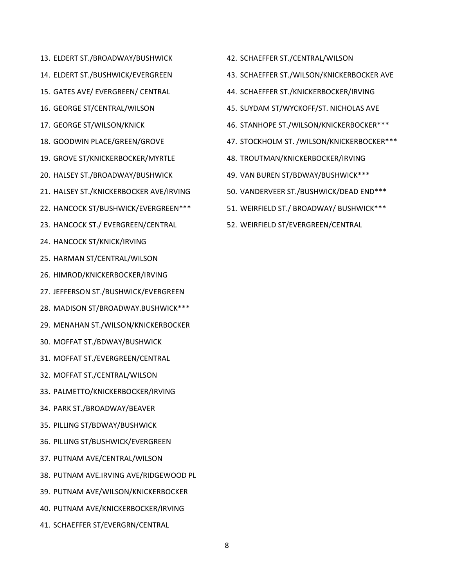- 13. ELDERT ST./BROADWAY/BUSHWICK
- 14. ELDERT ST./BUSHWICK/EVERGREEN
- 15. GATES AVE/ EVERGREEN/ CENTRAL
- 16. GEORGE ST/CENTRAL/WILSON
- 17. GEORGE ST/WILSON/KNICK
- 18. GOODWIN PLACE/GREEN/GROVE
- 19. GROVE ST/KNICKERBOCKER/MYRTLE
- 20. HALSEY ST./BROADWAY/BUSHWICK
- 21. HALSEY ST./KNICKERBOCKER AVE/IRVING
- 22. HANCOCK ST/BUSHWICK/EVERGREEN\*\*\*
- 23. HANCOCK ST./ EVERGREEN/CENTRAL
- 24. HANCOCK ST/KNICK/IRVING
- 25. HARMAN ST/CENTRAL/WILSON
- 26. HIMROD/KNICKERBOCKER/IRVING
- 27. JEFFERSON ST./BUSHWICK/EVERGREEN
- 28. MADISON ST/BROADWAY.BUSHWICK\*\*\*
- 29. MENAHAN ST./WILSON/KNICKERBOCKER
- 30. MOFFAT ST./BDWAY/BUSHWICK
- 31. MOFFAT ST./EVERGREEN/CENTRAL
- 32. MOFFAT ST./CENTRAL/WILSON
- 33. PALMETTO/KNICKERBOCKER/IRVING
- 34. PARK ST./BROADWAY/BEAVER
- 35. PILLING ST/BDWAY/BUSHWICK
- 36. PILLING ST/BUSHWICK/EVERGREEN
- 37. PUTNAM AVE/CENTRAL/WILSON
- 38. PUTNAM AVE.IRVING AVE/RIDGEWOOD PL
- 39. PUTNAM AVE/WILSON/KNICKERBOCKER
- 40. PUTNAM AVE/KNICKERBOCKER/IRVING
- 41. SCHAEFFER ST/EVERGRN/CENTRAL
- 42. SCHAEFFER ST./CENTRAL/WILSON
- 43. SCHAEFFER ST./WILSON/KNICKERBOCKER AVE
- 44. SCHAEFFER ST./KNICKERBOCKER/IRVING
- 45. SUYDAM ST/WYCKOFF/ST. NICHOLAS AVE
- 46. STANHOPE ST./WILSON/KNICKERBOCKER\*\*\*
- 47. STOCKHOLM ST. /WILSON/KNICKERBOCKER\*\*\*
- 48. TROUTMAN/KNICKERBOCKER/IRVING
- 49. VAN BUREN ST/BDWAY/BUSHWICK\*\*\*
- 50. VANDERVEER ST./BUSHWICK/DEAD END\*\*\*
- 51. WEIRFIELD ST./ BROADWAY/ BUSHWICK\*\*\*
- 52. WEIRFIELD ST/EVERGREEN/CENTRAL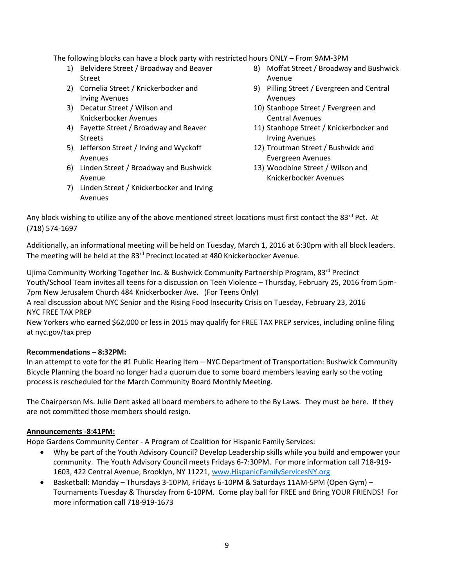The following blocks can have a block party with restricted hours ONLY – From 9AM-3PM

- 1) Belvidere Street / Broadway and Beaver Street
- 2) Cornelia Street / Knickerbocker and Irving Avenues
- 3) Decatur Street / Wilson and Knickerbocker Avenues
- 4) Fayette Street / Broadway and Beaver Streets
- 5) Jefferson Street / Irving and Wyckoff Avenues
- 6) Linden Street / Broadway and Bushwick Avenue
- 7) Linden Street / Knickerbocker and Irving Avenues
- 8) Moffat Street / Broadway and Bushwick Avenue
- 9) Pilling Street / Evergreen and Central Avenues
- 10) Stanhope Street / Evergreen and Central Avenues
- 11) Stanhope Street / Knickerbocker and Irving Avenues
- 12) Troutman Street / Bushwick and Evergreen Avenues
- 13) Woodbine Street / Wilson and Knickerbocker Avenues

Any block wishing to utilize any of the above mentioned street locations must first contact the 83<sup>rd</sup> Pct. At (718) 574-1697

Additionally, an informational meeting will be held on Tuesday, March 1, 2016 at 6:30pm with all block leaders. The meeting will be held at the 83<sup>rd</sup> Precinct located at 480 Knickerbocker Avenue.

Ujima Community Working Together Inc. & Bushwick Community Partnership Program, 83<sup>rd</sup> Precinct Youth/School Team invites all teens for a discussion on Teen Violence – Thursday, February 25, 2016 from 5pm-7pm New Jerusalem Church 484 Knickerbocker Ave. (For Teens Only)

A real discussion about NYC Senior and the Rising Food Insecurity Crisis on Tuesday, February 23, 2016 NYC FREE TAX PREP

New Yorkers who earned \$62,000 or less in 2015 may qualify for FREE TAX PREP services, including online filing at nyc.gov/tax prep

## **Recommendations – 8:32PM:**

In an attempt to vote for the #1 Public Hearing Item – NYC Department of Transportation: Bushwick Community Bicycle Planning the board no longer had a quorum due to some board members leaving early so the voting process is rescheduled for the March Community Board Monthly Meeting.

The Chairperson Ms. Julie Dent asked all board members to adhere to the By Laws. They must be here. If they are not committed those members should resign.

## **Announcements -8:41PM:**

Hope Gardens Community Center - A Program of Coalition for Hispanic Family Services:

- Why be part of the Youth Advisory Council? Develop Leadership skills while you build and empower your community. The Youth Advisory Council meets Fridays 6-7:30PM. For more information call 718-919- 1603, 422 Central Avenue, Brooklyn, NY 11221[, www.HispanicFamilyServicesNY.org](http://www.hispanicfamilyservicesny.org/)
- Basketball: Monday Thursdays 3-10PM, Fridays 6-10PM & Saturdays 11AM-5PM (Open Gym) Tournaments Tuesday & Thursday from 6-10PM. Come play ball for FREE and Bring YOUR FRIENDS! For more information call 718-919-1673